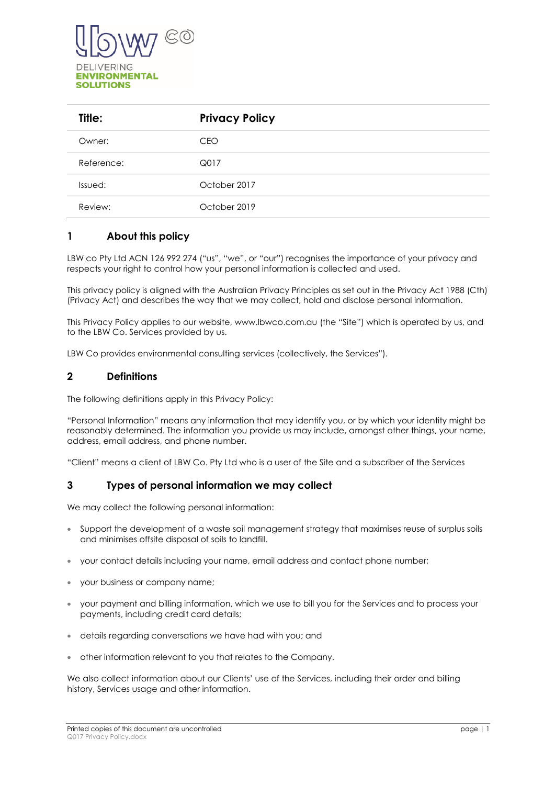

| Title:     | <b>Privacy Policy</b> |
|------------|-----------------------|
| Owner:     | <b>CEO</b>            |
| Reference: | Q017                  |
| Issued:    | October 2017          |
| Review:    | October 2019          |

# **1 About this policy**

LBW co Pty Ltd ACN 126 992 274 ("us", "we", or "our") recognises the importance of your privacy and respects your right to control how your personal information is collected and used.

This privacy policy is aligned with the Australian Privacy Principles as set out in the Privacy Act 1988 (Cth) (Privacy Act) and describes the way that we may collect, hold and disclose personal information.

This Privacy Policy applies to our website, www.lbwco.com.au (the "Site") which is operated by us, and to the LBW Co. Services provided by us.

LBW Co provides environmental consulting services (collectively, the Services").

#### **2 Definitions**

The following definitions apply in this Privacy Policy:

"Personal Information" means any information that may identify you, or by which your identity might be reasonably determined. The information you provide us may include, amongst other things, your name, address, email address, and phone number.

"Client" means a client of LBW Co. Pty Ltd who is a user of the Site and a subscriber of the Services

## **3 Types of personal information we may collect**

We may collect the following personal information:

- Support the development of a waste soil management strategy that maximises reuse of surplus soils and minimises offsite disposal of soils to landfill.
- your contact details including your name, email address and contact phone number;
- your business or company name;
- your payment and billing information, which we use to bill you for the Services and to process your payments, including credit card details;
- details regarding conversations we have had with you; and
- other information relevant to you that relates to the Company.

We also collect information about our Clients' use of the Services, including their order and billing history, Services usage and other information.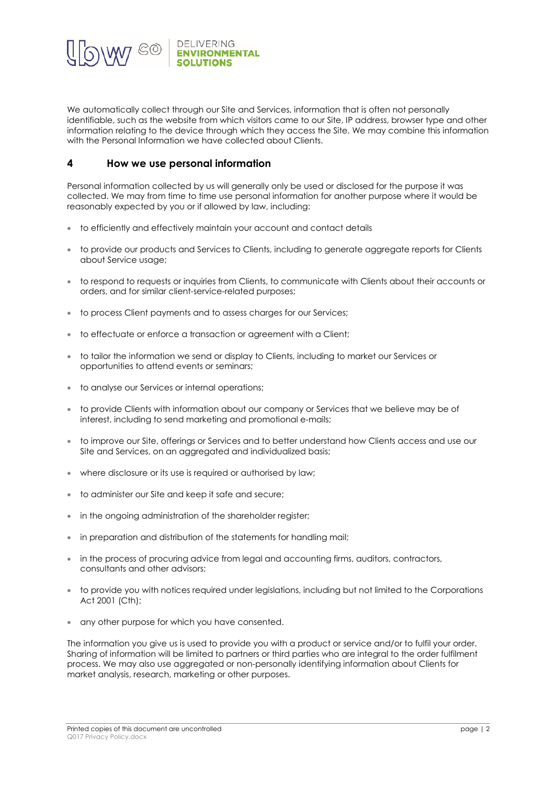

We automatically collect through our Site and Services, information that is often not personally identifiable, such as the website from which visitors came to our Site, IP address, browser type and other information relating to the device through which they access the Site. We may combine this information with the Personal Information we have collected about Clients.

### **4 How we use personal information**

Personal information collected by us will generally only be used or disclosed for the purpose it was collected. We may from time to time use personal information for another purpose where it would be reasonably expected by you or if allowed by law, including:

- to efficiently and effectively maintain your account and contact details
- to provide our products and Services to Clients, including to generate aggregate reports for Clients about Service usage;
- to respond to requests or inquiries from Clients, to communicate with Clients about their accounts or orders, and for similar client-service-related purposes;
- to process Client payments and to assess charges for our Services;
- to effectuate or enforce a transaction or agreement with a Client;
- to tailor the information we send or display to Clients, including to market our Services or opportunities to attend events or seminars;
- to analyse our Services or internal operations;
- to provide Clients with information about our company or Services that we believe may be of interest, including to send marketing and promotional e-mails;
- to improve our Site, offerings or Services and to better understand how Clients access and use our Site and Services, on an aggregated and individualized basis;
- where disclosure or its use is required or authorised by law;
- to administer our Site and keep it safe and secure;
- in the ongoing administration of the shareholder register;
- in preparation and distribution of the statements for handling mail;
- in the process of procuring advice from legal and accounting firms, auditors, contractors, consultants and other advisors;
- to provide you with notices required under legislations, including but not limited to the Corporations Act 2001 (Cth);
- any other purpose for which you have consented.

The information you give us is used to provide you with a product or service and/or to fulfil your order. Sharing of information will be limited to partners or third parties who are integral to the order fulfilment process. We may also use aggregated or non-personally identifying information about Clients for market analysis, research, marketing or other purposes.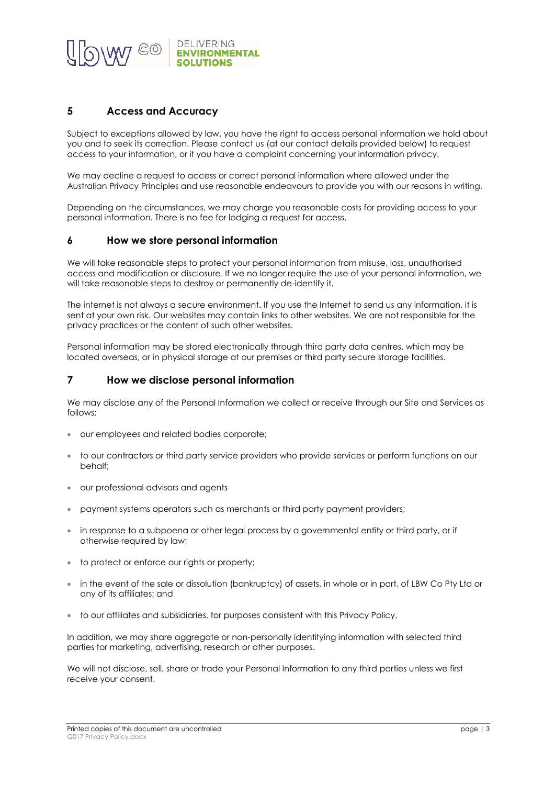

# **5 Access and Accuracy**

Subject to exceptions allowed by law, you have the right to access personal information we hold about you and to seek its correction. Please contact us (at our contact details provided below) to request access to your information, or if you have a complaint concerning your information privacy.

We may decline a request to access or correct personal information where allowed under the Australian Privacy Principles and use reasonable endeavours to provide you with our reasons in writing.

Depending on the circumstances, we may charge you reasonable costs for providing access to your personal information. There is no fee for lodging a request for access.

#### **6 How we store personal information**

We will take reasonable steps to protect your personal information from misuse, loss, unauthorised access and modification or disclosure. If we no longer require the use of your personal information, we will take reasonable steps to destroy or permanently de-identify it.

The internet is not always a secure environment. If you use the Internet to send us any information, it is sent at your own risk. Our websites may contain links to other websites. We are not responsible for the privacy practices or the content of such other websites.

Personal information may be stored electronically through third party data centres, which may be located overseas, or in physical storage at our premises or third party secure storage facilities.

#### **7 How we disclose personal information**

We may disclose any of the Personal Information we collect or receive through our Site and Services as follows:

- our employees and related bodies corporate;
- to our contractors or third party service providers who provide services or perform functions on our behalf;
- our professional advisors and agents
- payment systems operators such as merchants or third party payment providers;
- in response to a subpoena or other legal process by a governmental entity or third party, or if otherwise required by law;
- to protect or enforce our rights or property;
- in the event of the sale or dissolution (bankruptcy) of assets, in whole or in part, of LBW Co Pty Ltd or any of its affiliates; and
- to our affiliates and subsidiaries, for purposes consistent with this Privacy Policy.

In addition, we may share aggregate or non-personally identifying information with selected third parties for marketing, advertising, research or other purposes.

We will not disclose, sell, share or trade your Personal Information to any third parties unless we first receive your consent.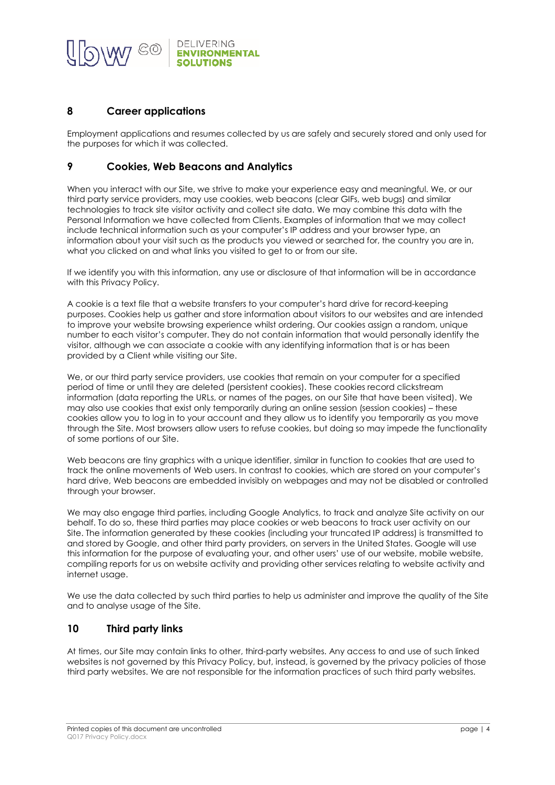

### **8 Career applications**

Employment applications and resumes collected by us are safely and securely stored and only used for the purposes for which it was collected.

### **9 Cookies, Web Beacons and Analytics**

When you interact with our Site, we strive to make your experience easy and meaningful. We, or our third party service providers, may use cookies, web beacons (clear GIFs, web bugs) and similar technologies to track site visitor activity and collect site data. We may combine this data with the Personal Information we have collected from Clients. Examples of information that we may collect include technical information such as your computer's IP address and your browser type, an information about your visit such as the products you viewed or searched for, the country you are in, what you clicked on and what links you visited to get to or from our site.

If we identify you with this information, any use or disclosure of that information will be in accordance with this Privacy Policy.

A cookie is a text file that a website transfers to your computer's hard drive for record-keeping purposes. Cookies help us gather and store information about visitors to our websites and are intended to improve your website browsing experience whilst ordering. Our cookies assign a random, unique number to each visitor's computer. They do not contain information that would personally identify the visitor, although we can associate a cookie with any identifying information that is or has been provided by a Client while visiting our Site.

We, or our third party service providers, use cookies that remain on your computer for a specified period of time or until they are deleted (persistent cookies). These cookies record clickstream information (data reporting the URLs, or names of the pages, on our Site that have been visited). We may also use cookies that exist only temporarily during an online session (session cookies) – these cookies allow you to log in to your account and they allow us to identify you temporarily as you move through the Site. Most browsers allow users to refuse cookies, but doing so may impede the functionality of some portions of our Site.

Web beacons are tiny graphics with a unique identifier, similar in function to cookies that are used to track the online movements of Web users. In contrast to cookies, which are stored on your computer's hard drive, Web beacons are embedded invisibly on webpages and may not be disabled or controlled through your browser.

We may also engage third parties, including Google Analytics, to track and analyze Site activity on our behalf. To do so, these third parties may place cookies or web beacons to track user activity on our Site. The information generated by these cookies (including your truncated IP address) is transmitted to and stored by Google, and other third party providers, on servers in the United States. Google will use this information for the purpose of evaluating your, and other users' use of our website, mobile website, compiling reports for us on website activity and providing other services relating to website activity and internet usage.

We use the data collected by such third parties to help us administer and improve the quality of the Site and to analyse usage of the Site.

## **10 Third party links**

At times, our Site may contain links to other, third-party websites. Any access to and use of such linked websites is not governed by this Privacy Policy, but, instead, is governed by the privacy policies of those third party websites. We are not responsible for the information practices of such third party websites.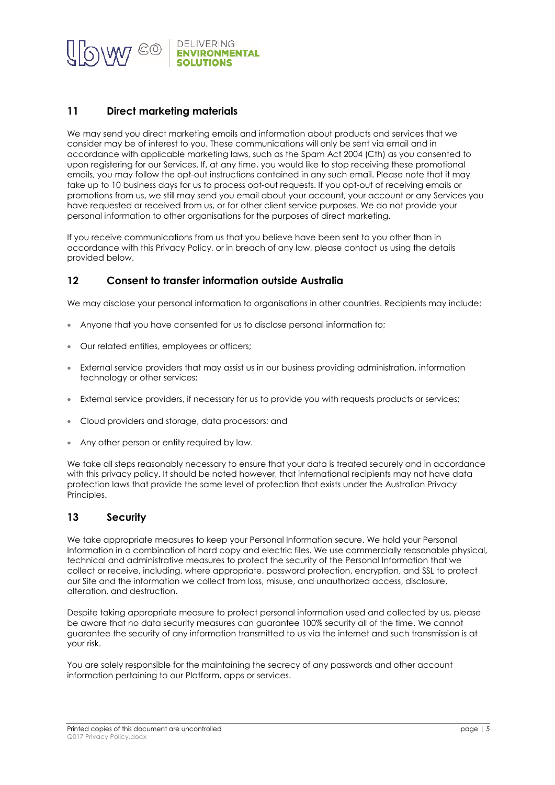

### **11 Direct marketing materials**

We may send you direct marketing emails and information about products and services that we consider may be of interest to you. These communications will only be sent via email and in accordance with applicable marketing laws, such as the Spam Act 2004 (Cth) as you consented to upon registering for our Services. If, at any time, you would like to stop receiving these promotional emails, you may follow the opt-out instructions contained in any such email. Please note that it may take up to 10 business days for us to process opt-out requests. If you opt-out of receiving emails or promotions from us, we still may send you email about your account, your account or any Services you have requested or received from us, or for other client service purposes. We do not provide your personal information to other organisations for the purposes of direct marketing.

If you receive communications from us that you believe have been sent to you other than in accordance with this Privacy Policy, or in breach of any law, please contact us using the details provided below.

### **12 Consent to transfer information outside Australia**

We may disclose your personal information to organisations in other countries. Recipients may include:

- Anyone that you have consented for us to disclose personal information to;
- Our related entities, employees or officers;
- External service providers that may assist us in our business providing administration, information technology or other services;
- External service providers, if necessary for us to provide you with requests products or services;
- Cloud providers and storage, data processors; and
- Any other person or entity required by law.

We take all steps reasonably necessary to ensure that your data is treated securely and in accordance with this privacy policy. It should be noted however, that international recipients may not have data protection laws that provide the same level of protection that exists under the Australian Privacy Principles.

#### **13 Security**

We take appropriate measures to keep your Personal Information secure. We hold your Personal Information in a combination of hard copy and electric files. We use commercially reasonable physical, technical and administrative measures to protect the security of the Personal Information that we collect or receive, including, where appropriate, password protection, encryption, and SSL to protect our Site and the information we collect from loss, misuse, and unauthorized access, disclosure, alteration, and destruction.

Despite taking appropriate measure to protect personal information used and collected by us, please be aware that no data security measures can guarantee 100% security all of the time. We cannot guarantee the security of any information transmitted to us via the internet and such transmission is at your risk.

You are solely responsible for the maintaining the secrecy of any passwords and other account information pertaining to our Platform, apps or services.